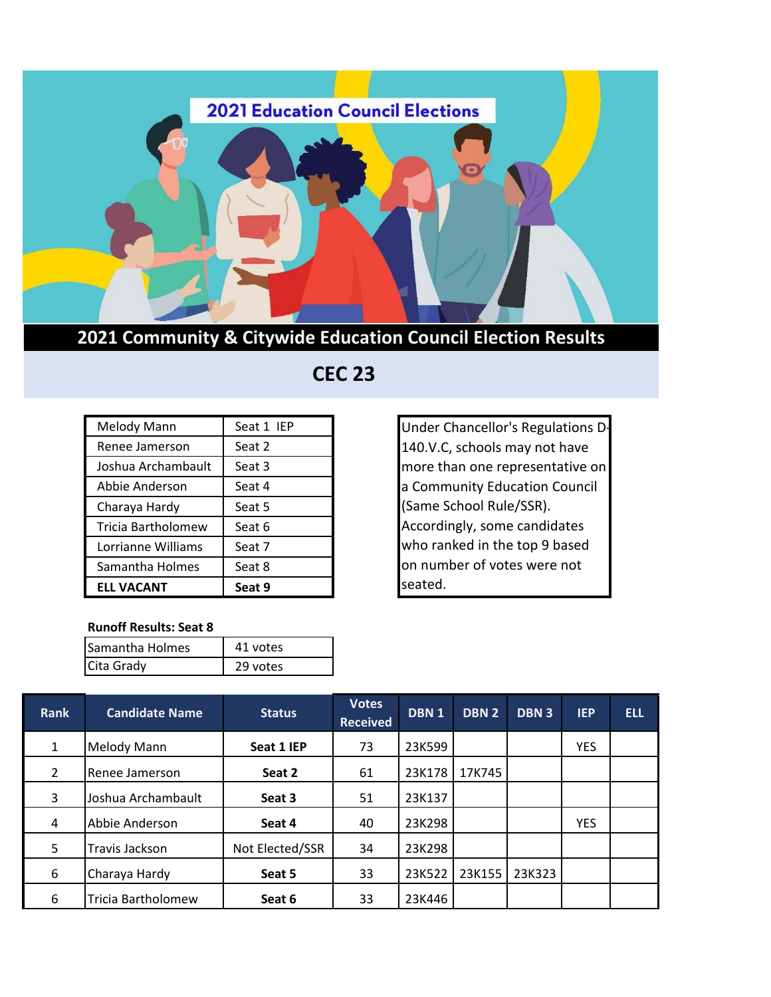

## **2021 Community & Citywide Education Council Election Results**

## **CEC 23**

| Melody Mann        | Seat 1 IEP |
|--------------------|------------|
| Renee Jamerson     | Seat 2     |
| Joshua Archambault | Seat 3     |
| Abbie Anderson     | Seat 4     |
| Charaya Hardy      | Seat 5     |
| Tricia Bartholomew | Seat 6     |
| Lorrianne Williams | Seat 7     |
| Samantha Holmes    | Seat 8     |
| <b>ELL VACANT</b>  | Seat 9     |

## **Runoff Results: Seat 8**

| ס אשנועוו ווכאשונא. אכשנו |          |  |  |  |
|---------------------------|----------|--|--|--|
| Samantha Holmes           | 41 votes |  |  |  |
| Cita Grady                | 29 votes |  |  |  |

Under Chancellor's Regulations D-140.V.C, schools may not have more than one representative on a Community Education Council (Same School Rule/SSR). Accordingly, some candidates who ranked in the top 9 based on number of votes were not seated.

| <b>Rank</b>    | <b>Candidate Name</b> | <b>Status</b>   | <b>Votes</b><br><b>Received</b> | DBN <sub>1</sub> | DBN <sub>2</sub> | <b>DBN3</b> | <b>IEP</b> | <b>ELL</b> |
|----------------|-----------------------|-----------------|---------------------------------|------------------|------------------|-------------|------------|------------|
| $\mathbf{1}$   | <b>Melody Mann</b>    | Seat 1 IEP      | 73                              | 23K599           |                  |             | <b>YES</b> |            |
| $\overline{2}$ | Renee Jamerson        | Seat 2          | 61                              | 23K178           | 17K745           |             |            |            |
| 3              | Joshua Archambault    | Seat 3          | 51                              | 23K137           |                  |             |            |            |
| 4              | Abbie Anderson        | Seat 4          | 40                              | 23K298           |                  |             | <b>YES</b> |            |
| 5              | Travis Jackson        | Not Elected/SSR | 34                              | 23K298           |                  |             |            |            |
| 6              | Charaya Hardy         | Seat 5          | 33                              | 23K522           | 23K155           | 23K323      |            |            |
| 6              | Tricia Bartholomew    | Seat 6          | 33                              | 23K446           |                  |             |            |            |